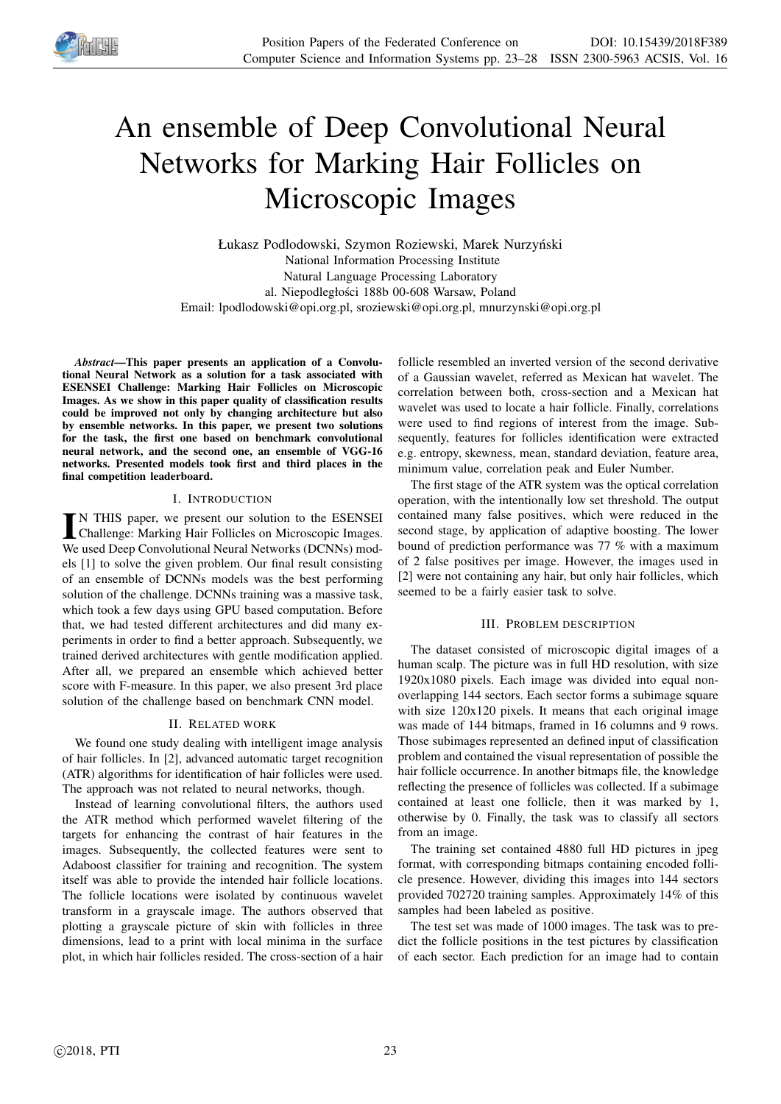

# An ensemble of Deep Convolutional Neural Networks for Marking Hair Follicles on Microscopic Images

Łukasz Podlodowski, Szymon Roziewski, Marek Nurzyński National Information Processing Institute Natural Language Processing Laboratory al. Niepodległości 188b 00-608 Warsaw, Poland Email: lpodlodowski@opi.org.pl, sroziewski@opi.org.pl, mnurzynski@opi.org.pl

*Abstract*—This paper presents an application of a Convolutional Neural Network as a solution for a task associated with ESENSEI Challenge: Marking Hair Follicles on Microscopic Images. As we show in this paper quality of classification results could be improved not only by changing architecture but also by ensemble networks. In this paper, we present two solutions for the task, the first one based on benchmark convolutional neural network, and the second one, an ensemble of VGG-16 networks. Presented models took first and third places in the final competition leaderboard.

## I. INTRODUCTION

IN THIS paper, we present our solution to the ESENSEI<br>Challenge: Marking Hair Follicles on Microscopic Images.<br>We used Data Canachtrical Numal Metuada (DCNN) and N THIS paper, we present our solution to the ESENSEI We used Deep Convolutional Neural Networks (DCNNs) models [1] to solve the given problem. Our final result consisting of an ensemble of DCNNs models was the best performing solution of the challenge. DCNNs training was a massive task, which took a few days using GPU based computation. Before that, we had tested different architectures and did many experiments in order to find a better approach. Subsequently, we trained derived architectures with gentle modification applied. After all, we prepared an ensemble which achieved better score with F-measure. In this paper, we also present 3rd place solution of the challenge based on benchmark CNN model.

## II. RELATED WORK

We found one study dealing with intelligent image analysis of hair follicles. In [2], advanced automatic target recognition (ATR) algorithms for identification of hair follicles were used. The approach was not related to neural networks, though.

Instead of learning convolutional filters, the authors used the ATR method which performed wavelet filtering of the targets for enhancing the contrast of hair features in the images. Subsequently, the collected features were sent to Adaboost classifier for training and recognition. The system itself was able to provide the intended hair follicle locations. The follicle locations were isolated by continuous wavelet transform in a grayscale image. The authors observed that plotting a grayscale picture of skin with follicles in three dimensions, lead to a print with local minima in the surface plot, in which hair follicles resided. The cross-section of a hair

follicle resembled an inverted version of the second derivative of a Gaussian wavelet, referred as Mexican hat wavelet. The correlation between both, cross-section and a Mexican hat wavelet was used to locate a hair follicle. Finally, correlations were used to find regions of interest from the image. Subsequently, features for follicles identification were extracted e.g. entropy, skewness, mean, standard deviation, feature area, minimum value, correlation peak and Euler Number.

The first stage of the ATR system was the optical correlation operation, with the intentionally low set threshold. The output contained many false positives, which were reduced in the second stage, by application of adaptive boosting. The lower bound of prediction performance was 77 % with a maximum of 2 false positives per image. However, the images used in [2] were not containing any hair, but only hair follicles, which seemed to be a fairly easier task to solve.

## III. PROBLEM DESCRIPTION

The dataset consisted of microscopic digital images of a human scalp. The picture was in full HD resolution, with size 1920x1080 pixels. Each image was divided into equal nonoverlapping 144 sectors. Each sector forms a subimage square with size 120x120 pixels. It means that each original image was made of 144 bitmaps, framed in 16 columns and 9 rows. Those subimages represented an defined input of classification problem and contained the visual representation of possible the hair follicle occurrence. In another bitmaps file, the knowledge reflecting the presence of follicles was collected. If a subimage contained at least one follicle, then it was marked by 1, otherwise by 0. Finally, the task was to classify all sectors from an image.

The training set contained 4880 full HD pictures in jpeg format, with corresponding bitmaps containing encoded follicle presence. However, dividing this images into 144 sectors provided 702720 training samples. Approximately 14% of this samples had been labeled as positive.

The test set was made of 1000 images. The task was to predict the follicle positions in the test pictures by classification of each sector. Each prediction for an image had to contain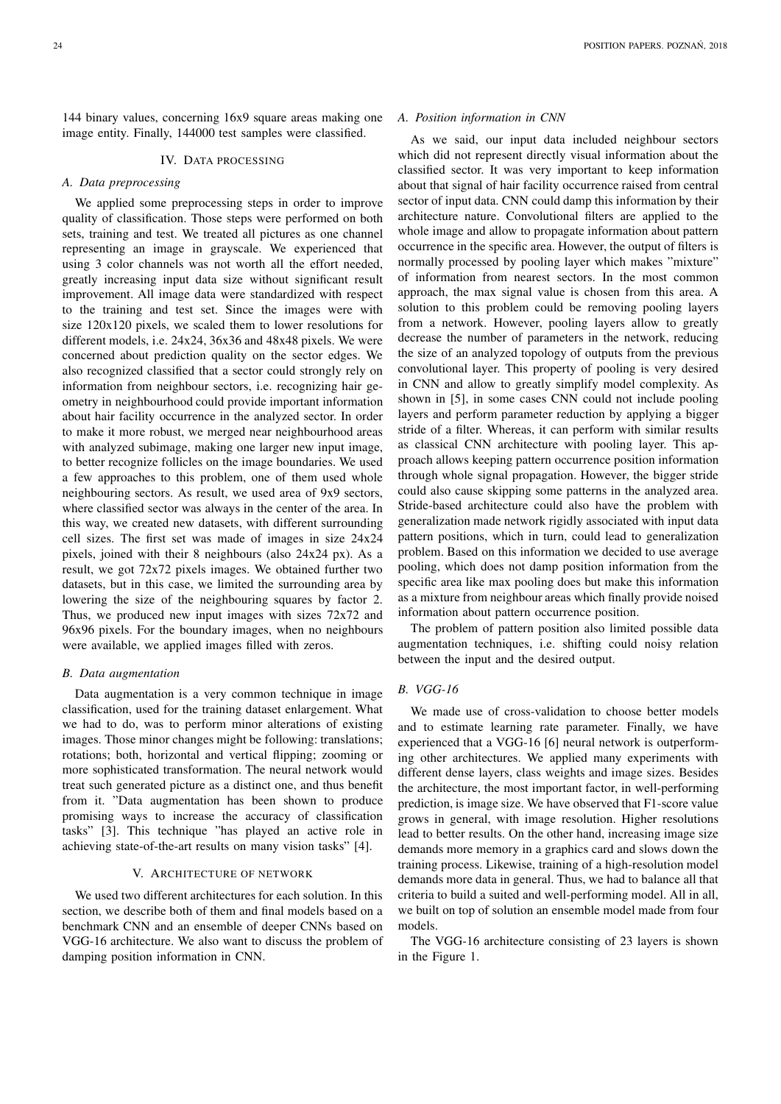144 binary values, concerning 16x9 square areas making one image entity. Finally, 144000 test samples were classified.

#### IV. DATA PROCESSING

## *A. Data preprocessing*

We applied some preprocessing steps in order to improve quality of classification. Those steps were performed on both sets, training and test. We treated all pictures as one channel representing an image in grayscale. We experienced that using 3 color channels was not worth all the effort needed, greatly increasing input data size without significant result improvement. All image data were standardized with respect to the training and test set. Since the images were with size 120x120 pixels, we scaled them to lower resolutions for different models, i.e. 24x24, 36x36 and 48x48 pixels. We were concerned about prediction quality on the sector edges. We also recognized classified that a sector could strongly rely on information from neighbour sectors, i.e. recognizing hair geometry in neighbourhood could provide important information about hair facility occurrence in the analyzed sector. In order to make it more robust, we merged near neighbourhood areas with analyzed subimage, making one larger new input image, to better recognize follicles on the image boundaries. We used a few approaches to this problem, one of them used whole neighbouring sectors. As result, we used area of 9x9 sectors, where classified sector was always in the center of the area. In this way, we created new datasets, with different surrounding cell sizes. The first set was made of images in size 24x24 pixels, joined with their 8 neighbours (also 24x24 px). As a result, we got 72x72 pixels images. We obtained further two datasets, but in this case, we limited the surrounding area by lowering the size of the neighbouring squares by factor 2. Thus, we produced new input images with sizes 72x72 and 96x96 pixels. For the boundary images, when no neighbours were available, we applied images filled with zeros.

#### *B. Data augmentation*

Data augmentation is a very common technique in image classification, used for the training dataset enlargement. What we had to do, was to perform minor alterations of existing images. Those minor changes might be following: translations; rotations; both, horizontal and vertical flipping; zooming or more sophisticated transformation. The neural network would treat such generated picture as a distinct one, and thus benefit from it. "Data augmentation has been shown to produce promising ways to increase the accuracy of classification tasks" [3]. This technique "has played an active role in achieving state-of-the-art results on many vision tasks" [4].

## V. ARCHITECTURE OF NETWORK

We used two different architectures for each solution. In this section, we describe both of them and final models based on a benchmark CNN and an ensemble of deeper CNNs based on VGG-16 architecture. We also want to discuss the problem of damping position information in CNN.

#### *A. Position information in CNN*

As we said, our input data included neighbour sectors which did not represent directly visual information about the classified sector. It was very important to keep information about that signal of hair facility occurrence raised from central sector of input data. CNN could damp this information by their architecture nature. Convolutional filters are applied to the whole image and allow to propagate information about pattern occurrence in the specific area. However, the output of filters is normally processed by pooling layer which makes "mixture" of information from nearest sectors. In the most common approach, the max signal value is chosen from this area. A solution to this problem could be removing pooling layers from a network. However, pooling layers allow to greatly decrease the number of parameters in the network, reducing the size of an analyzed topology of outputs from the previous convolutional layer. This property of pooling is very desired in CNN and allow to greatly simplify model complexity. As shown in [5], in some cases CNN could not include pooling layers and perform parameter reduction by applying a bigger stride of a filter. Whereas, it can perform with similar results as classical CNN architecture with pooling layer. This approach allows keeping pattern occurrence position information through whole signal propagation. However, the bigger stride could also cause skipping some patterns in the analyzed area. Stride-based architecture could also have the problem with generalization made network rigidly associated with input data pattern positions, which in turn, could lead to generalization problem. Based on this information we decided to use average pooling, which does not damp position information from the specific area like max pooling does but make this information as a mixture from neighbour areas which finally provide noised information about pattern occurrence position.

The problem of pattern position also limited possible data augmentation techniques, i.e. shifting could noisy relation between the input and the desired output.

## *B. VGG-16*

We made use of cross-validation to choose better models and to estimate learning rate parameter. Finally, we have experienced that a VGG-16 [6] neural network is outperforming other architectures. We applied many experiments with different dense layers, class weights and image sizes. Besides the architecture, the most important factor, in well-performing prediction, is image size. We have observed that F1-score value grows in general, with image resolution. Higher resolutions lead to better results. On the other hand, increasing image size demands more memory in a graphics card and slows down the training process. Likewise, training of a high-resolution model demands more data in general. Thus, we had to balance all that criteria to build a suited and well-performing model. All in all, we built on top of solution an ensemble model made from four models.

The VGG-16 architecture consisting of 23 layers is shown in the Figure 1.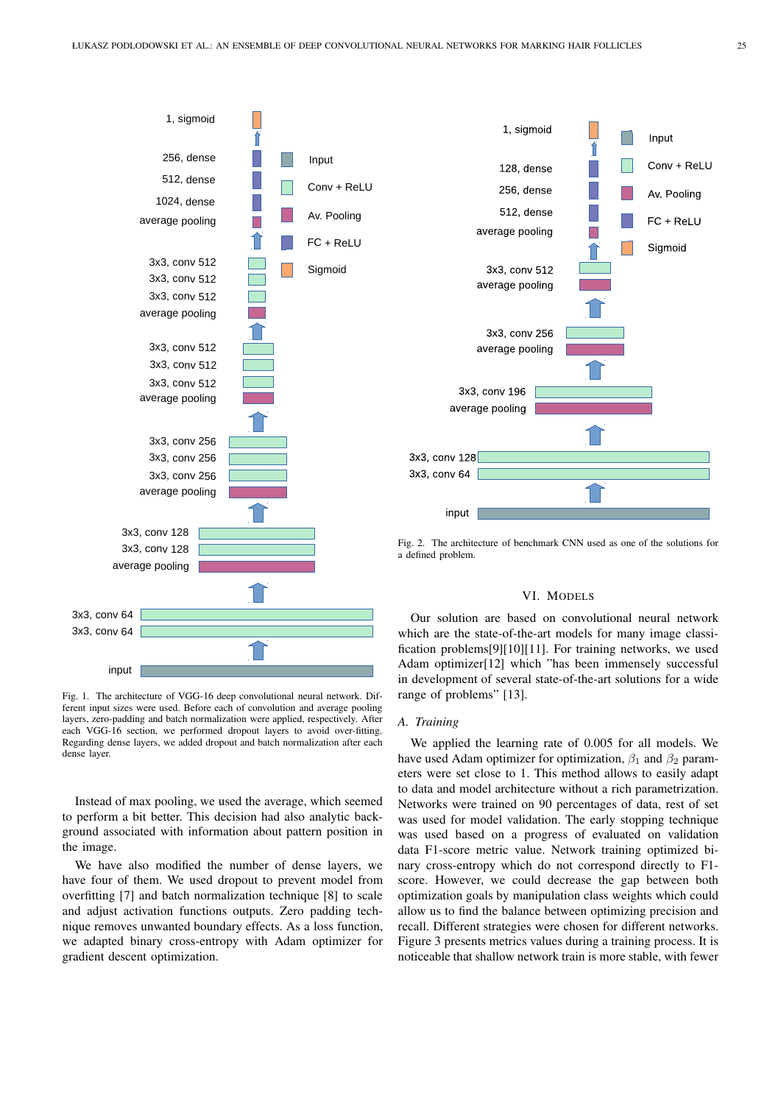

Fig. 1. The architecture of VGG-16 deep convolutional neural network. Different input sizes were used. Before each of convolution and average pooling layers, zero-padding and batch normalization were applied, respectively. After each VGG-16 section, we performed dropout layers to avoid over-fitting. Regarding dense layers, we added dropout and batch normalization after each dense layer.

Instead of max pooling, we used the average, which seemed to perform a bit better. This decision had also analytic background associated with information about pattern position in the image.

We have also modified the number of dense layers, we have four of them. We used dropout to prevent model from overfitting [7] and batch normalization technique [8] to scale and adjust activation functions outputs. Zero padding technique removes unwanted boundary effects. As a loss function, we adapted binary cross-entropy with Adam optimizer for gradient descent optimization.



Fig. 2. The architecture of benchmark CNN used as one of the solutions for a defined problem.

## VI. MODELS

Our solution are based on convolutional neural network which are the state-of-the-art models for many image classification problems[9][10][11]. For training networks, we used Adam optimizer[12] which "has been immensely successful in development of several state-of-the-art solutions for a wide range of problems" [13].

## *A. Training*

We applied the learning rate of 0.005 for all models. We have used Adam optimizer for optimization,  $\beta_1$  and  $\beta_2$  parameters were set close to 1. This method allows to easily adapt to data and model architecture without a rich parametrization. Networks were trained on 90 percentages of data, rest of set was used for model validation. The early stopping technique was used based on a progress of evaluated on validation data F1-score metric value. Network training optimized binary cross-entropy which do not correspond directly to F1 score. However, we could decrease the gap between both optimization goals by manipulation class weights which could allow us to find the balance between optimizing precision and recall. Different strategies were chosen for different networks. Figure 3 presents metrics values during a training process. It is noticeable that shallow network train is more stable, with fewer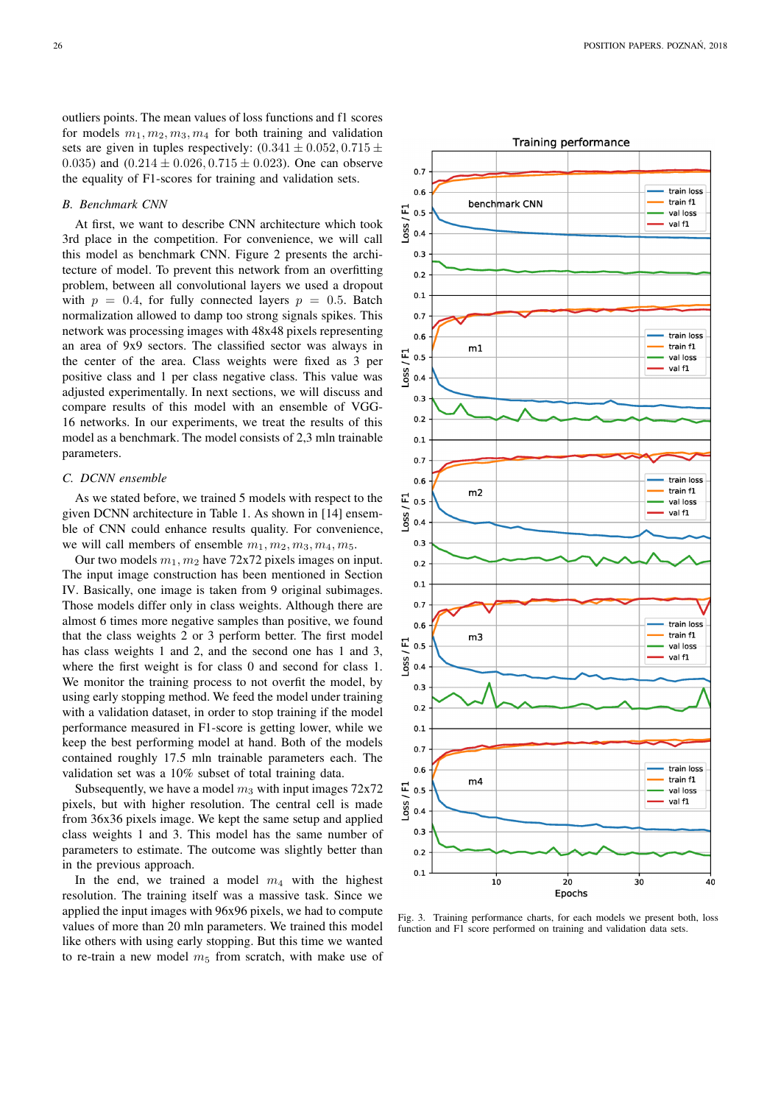outliers points. The mean values of loss functions and f1 scores for models  $m_1, m_2, m_3, m_4$  for both training and validation sets are given in tuples respectively:  $(0.341 \pm 0.052, 0.715 \pm 0.052)$ 0.035) and  $(0.214 \pm 0.026, 0.715 \pm 0.023)$ . One can observe the equality of F1-scores for training and validation sets.

#### *B. Benchmark CNN*

At first, we want to describe CNN architecture which took 3rd place in the competition. For convenience, we will call this model as benchmark CNN. Figure 2 presents the architecture of model. To prevent this network from an overfitting problem, between all convolutional layers we used a dropout with  $p = 0.4$ , for fully connected layers  $p = 0.5$ . Batch normalization allowed to damp too strong signals spikes. This network was processing images with 48x48 pixels representing an area of 9x9 sectors. The classified sector was always in the center of the area. Class weights were fixed as 3 per positive class and 1 per class negative class. This value was adjusted experimentally. In next sections, we will discuss and compare results of this model with an ensemble of VGG-16 networks. In our experiments, we treat the results of this model as a benchmark. The model consists of 2,3 mln trainable parameters.

## *C. DCNN ensemble*

As we stated before, we trained 5 models with respect to the given DCNN architecture in Table 1. As shown in [14] ensemble of CNN could enhance results quality. For convenience, we will call members of ensemble  $m_1, m_2, m_3, m_4, m_5$ .

Our two models  $m_1, m_2$  have 72x72 pixels images on input. The input image construction has been mentioned in Section IV. Basically, one image is taken from 9 original subimages. Those models differ only in class weights. Although there are almost 6 times more negative samples than positive, we found that the class weights 2 or 3 perform better. The first model has class weights 1 and 2, and the second one has 1 and 3, where the first weight is for class 0 and second for class 1. We monitor the training process to not overfit the model, by using early stopping method. We feed the model under training with a validation dataset, in order to stop training if the model performance measured in F1-score is getting lower, while we keep the best performing model at hand. Both of the models contained roughly 17.5 mln trainable parameters each. The validation set was a 10% subset of total training data.

Subsequently, we have a model  $m_3$  with input images 72x72 pixels, but with higher resolution. The central cell is made from 36x36 pixels image. We kept the same setup and applied class weights 1 and 3. This model has the same number of parameters to estimate. The outcome was slightly better than in the previous approach.

In the end, we trained a model  $m_4$  with the highest resolution. The training itself was a massive task. Since we applied the input images with 96x96 pixels, we had to compute values of more than 20 mln parameters. We trained this model like others with using early stopping. But this time we wanted to re-train a new model  $m<sub>5</sub>$  from scratch, with make use of



Fig. 3. Training performance charts, for each models we present both, loss function and F1 score performed on training and validation data sets.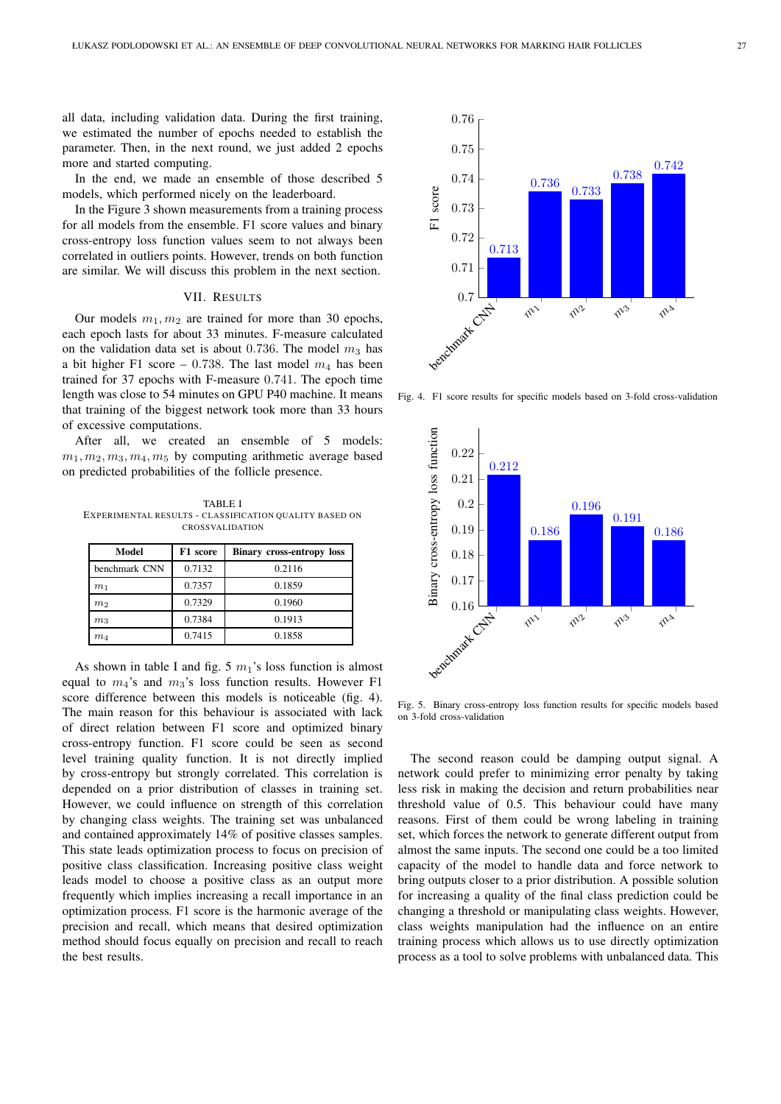all data, including validation data. During the first training, we estimated the number of epochs needed to establish the parameter. Then, in the next round, we just added 2 epochs more and started computing.

In the end, we made an ensemble of those described 5 models, which performed nicely on the leaderboard.

In the Figure 3 shown measurements from a training process for all models from the ensemble. F1 score values and binary cross-entropy loss function values seem to not always been correlated in outliers points. However, trends on both function are similar. We will discuss this problem in the next section.

## VII. RESULTS

Our models  $m_1, m_2$  are trained for more than 30 epochs, each epoch lasts for about 33 minutes. F-measure calculated on the validation data set is about 0.736. The model  $m_3$  has a bit higher F1 score – 0.738. The last model  $m_4$  has been trained for 37 epochs with F-measure 0.741. The epoch time length was close to 54 minutes on GPU P40 machine. It means that training of the biggest network took more than 33 hours of excessive computations.

After all, we created an ensemble of 5 models:  $m_1, m_2, m_3, m_4, m_5$  by computing arithmetic average based on predicted probabilities of the follicle presence.

TABLE I EXPERIMENTAL RESULTS - CLASS IFICATION QUALITY BASED ON CROSSVALIDATION

| Model          | F1 score | <b>Binary cross-entropy loss</b> |
|----------------|----------|----------------------------------|
| benchmark CNN  | 0.7132   | 0.2116                           |
| m <sub>1</sub> | 0.7357   | 0.1859                           |
| m <sub>2</sub> | 0.7329   | 0.1960                           |
| m <sub>3</sub> | 0.7384   | 0.1913                           |
| $m_{4}$        | 0.7415   | 0.1858                           |

As shown in table I and fig. 5  $m_1$ 's loss function is almost equal to  $m_4$ 's and  $m_3$ 's loss function results. However F1 score difference between this models is noticeable (fig. 4). The main reason for this behaviour is associated with lack of direct relation between F1 score and optimized binary cross-entropy function. F1 score could be seen as second level training quality function. It is not directly implied by cross-entropy but strongly correlated. This correlation is depended on a prior distribution of classes in training set. However, we could influence on strength of this correlation by changing class weights. The training set was unbalanced and contained approximately 14% of positive classes samples. This state leads optimization process to focus on precision of positive class classification. Increasing positive class weight leads model to choose a positive class as an output more frequently which implies increasing a recall importance in an optimization process. F1 score is the harmonic average of the precision and recall, which means that desired optimization method should focus equally on precision and recall to reach the best results.



Fig. 4. F1 score results for specific models based on 3-fold cross-validation



Fig. 5. Binary cross-entropy loss function results for specific models based on 3-fold cross-validation

The second reason could be damping output signal. A network could prefer to minimizing error penalty by taking less risk in making the decision and return probabilities near threshold value of 0.5. This behaviour could have many reasons. First of them could be wrong labeling in training set, which forces the network to generate different output from almost the same inputs. The second one could be a too limited capacity of the model to handle data and force network to bring outputs closer to a prior distribution. A possible solution for increasing a quality of the final class prediction could be changing a threshold or manipulating class weights. However, class weights manipulation had the influence on an entire training process which allows us to use directly optimization process as a tool to solve problems with unbalanced data. This